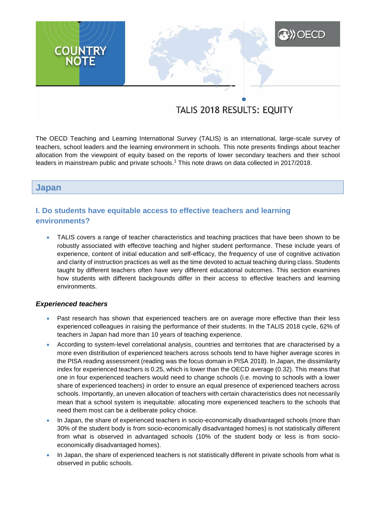# **A)) OECD COUNTRY**

# TALIS 2018 RESULTS: EQUITY

The OECD Teaching and Learning International Survey (TALIS) is an international, large-scale survey of teachers, school leaders and the learning environment in schools. This note presents findings about teacher allocation from the viewpoint of equity based on the reports of lower secondary teachers and their school leaders in mainstream public and private schools.<sup>1</sup> This note draws on data collected in 2017/2018.

# **Japan**

# **I. Do students have equitable access to effective teachers and learning environments?**

 TALIS covers a range of teacher characteristics and teaching practices that have been shown to be robustly associated with effective teaching and higher student performance. These include years of experience, content of initial education and self-efficacy, the frequency of use of cognitive activation and clarity of instruction practices as well as the time devoted to actual teaching during class. Students taught by different teachers often have very different educational outcomes. This section examines how students with different backgrounds differ in their access to effective teachers and learning environments.

#### *Experienced teachers*

- Past research has shown that experienced teachers are on average more effective than their less experienced colleagues in raising the performance of their students. In the TALIS 2018 cycle, 62% of teachers in Japan had more than 10 years of teaching experience.
- According to system-level correlational analysis, countries and territories that are characterised by a more even distribution of experienced teachers across schools tend to have higher average scores in the PISA reading assessment (reading was the focus domain in PISA 2018). In Japan, the dissimilarity index for experienced teachers is 0.25, which is lower than the OECD average (0.32). This means that one in four experienced teachers would need to change schools (i.e. moving to schools with a lower share of experienced teachers) in order to ensure an equal presence of experienced teachers across schools. Importantly, an uneven allocation of teachers with certain characteristics does not necessarily mean that a school system is inequitable: allocating more experienced teachers to the schools that need them most can be a deliberate policy choice.
- In Japan, the share of experienced teachers in socio-economically disadvantaged schools (more than 30% of the student body is from socio-economically disadvantaged homes) is not statistically different from what is observed in advantaged schools (10% of the student body or less is from socioeconomically disadvantaged homes).
- In Japan, the share of experienced teachers is not statistically different in private schools from what is observed in public schools.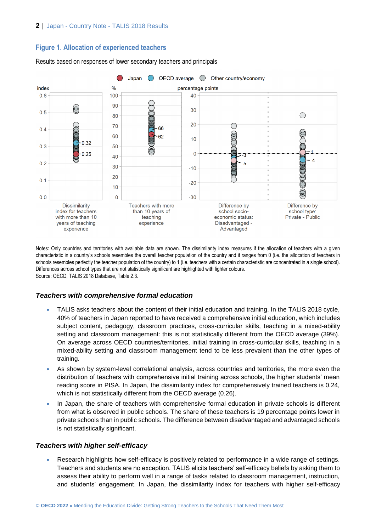# **Figure 1. Allocation of experienced teachers**



Results based on responses of lower secondary teachers and principals

Notes: Only countries and territories with available data are shown. The dissimilarity index measures if the allocation of teachers with a given characteristic in a country's schools resembles the overall teacher population of the country and it ranges from 0 (i.e. the allocation of teachers in schools resembles perfectly the teacher population of the country) to 1 (i.e. teachers with a certain characteristic are concentrated in a single school). Differences across school types that are not statistically significant are highlighted with lighter colours. Source: OECD, TALIS 2018 Database, Table 2.3.

# *Teachers with comprehensive formal education*

- TALIS asks teachers about the content of their initial education and training. In the TALIS 2018 cycle, 40% of teachers in Japan reported to have received a comprehensive initial education, which includes subject content, pedagogy, classroom practices, cross-curricular skills, teaching in a mixed-ability setting and classroom management: this is not statistically different from the OECD average (39%). On average across OECD countries/territories, initial training in cross-curricular skills, teaching in a mixed-ability setting and classroom management tend to be less prevalent than the other types of training.
- As shown by system-level correlational analysis, across countries and territories, the more even the distribution of teachers with comprehensive initial training across schools, the higher students' mean reading score in PISA. In Japan, the dissimilarity index for comprehensively trained teachers is 0.24, which is not statistically different from the OECD average (0.26).
- In Japan, the share of teachers with comprehensive formal education in private schools is different from what is observed in public schools. The share of these teachers is 19 percentage points lower in private schools than in public schools. The difference between disadvantaged and advantaged schools is not statistically significant.

# *Teachers with higher self-efficacy*

 Research highlights how self-efficacy is positively related to performance in a wide range of settings. Teachers and students are no exception. TALIS elicits teachers' self-efficacy beliefs by asking them to assess their ability to perform well in a range of tasks related to classroom management, instruction, and students' engagement. In Japan, the dissimilarity index for teachers with higher self-efficacy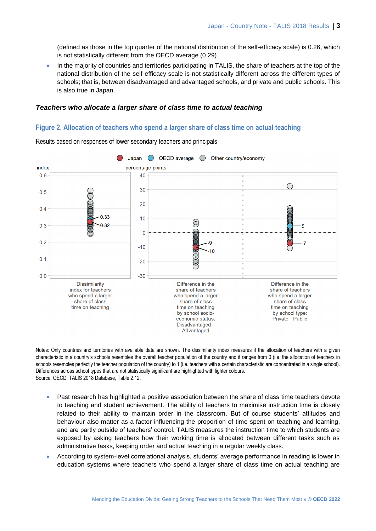(defined as those in the top quarter of the national distribution of the self-efficacy scale) is 0.26, which is not statistically different from the OECD average (0.29).

 In the majority of countries and territories participating in TALIS, the share of teachers at the top of the national distribution of the self-efficacy scale is not statistically different across the different types of schools; that is, between disadvantaged and advantaged schools, and private and public schools. This is also true in Japan.

#### *Teachers who allocate a larger share of class time to actual teaching*

#### **Figure 2. Allocation of teachers who spend a larger share of class time on actual teaching**



Results based on responses of lower secondary teachers and principals

Notes: Only countries and territories with available data are shown. The dissimilarity index measures if the allocation of teachers with a given characteristic in a country's schools resembles the overall teacher population of the country and it ranges from 0 (i.e. the allocation of teachers in schools resembles perfectly the teacher population of the country) to 1 (i.e. teachers with a certain characteristic are concentrated in a single school). Differences across school types that are not statistically significant are highlighted with lighter colours. Source: OECD, TALIS 2018 Database, Table 2.12.

- Past research has highlighted a positive association between the share of class time teachers devote to teaching and student achievement. The ability of teachers to maximise instruction time is closely related to their ability to maintain order in the classroom. But of course students' attitudes and behaviour also matter as a factor influencing the proportion of time spent on teaching and learning, and are partly outside of teachers' control. TALIS measures the instruction time to which students are exposed by asking teachers how their working time is allocated between different tasks such as administrative tasks, keeping order and actual teaching in a regular weekly class.
- According to system-level correlational analysis, students' average performance in reading is lower in education systems where teachers who spend a larger share of class time on actual teaching are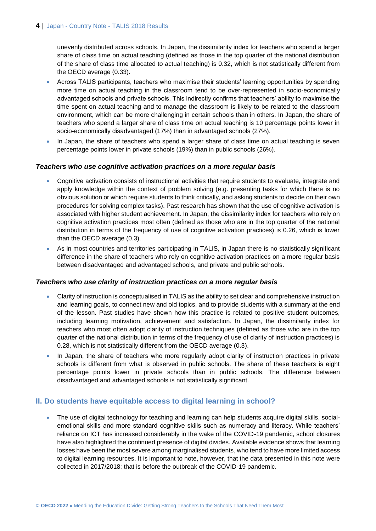unevenly distributed across schools. In Japan, the dissimilarity index for teachers who spend a larger share of class time on actual teaching (defined as those in the top quarter of the national distribution of the share of class time allocated to actual teaching) is 0.32, which is not statistically different from the OECD average (0.33).

- Across TALIS participants, teachers who maximise their students' learning opportunities by spending more time on actual teaching in the classroom tend to be over-represented in socio-economically advantaged schools and private schools. This indirectly confirms that teachers' ability to maximise the time spent on actual teaching and to manage the classroom is likely to be related to the classroom environment, which can be more challenging in certain schools than in others. In Japan, the share of teachers who spend a larger share of class time on actual teaching is 10 percentage points lower in socio-economically disadvantaged (17%) than in advantaged schools (27%).
- In Japan, the share of teachers who spend a larger share of class time on actual teaching is seven percentage points lower in private schools (19%) than in public schools (26%).

#### *Teachers who use cognitive activation practices on a more regular basis*

- Cognitive activation consists of instructional activities that require students to evaluate, integrate and apply knowledge within the context of problem solving (e.g. presenting tasks for which there is no obvious solution or which require students to think critically, and asking students to decide on their own procedures for solving complex tasks). Past research has shown that the use of cognitive activation is associated with higher student achievement. In Japan, the dissimilarity index for teachers who rely on cognitive activation practices most often (defined as those who are in the top quarter of the national distribution in terms of the frequency of use of cognitive activation practices) is 0.26, which is lower than the OECD average (0.3).
- As in most countries and territories participating in TALIS, in Japan there is no statistically significant difference in the share of teachers who rely on cognitive activation practices on a more regular basis between disadvantaged and advantaged schools, and private and public schools.

#### *Teachers who use clarity of instruction practices on a more regular basis*

- Clarity of instruction is conceptualised in TALIS as the ability to set clear and comprehensive instruction and learning goals, to connect new and old topics, and to provide students with a summary at the end of the lesson. Past studies have shown how this practice is related to positive student outcomes, including learning motivation, achievement and satisfaction. In Japan, the dissimilarity index for teachers who most often adopt clarity of instruction techniques (defined as those who are in the top quarter of the national distribution in terms of the frequency of use of clarity of instruction practices) is 0.28, which is not statistically different from the OECD average (0.3).
- In Japan, the share of teachers who more regularly adopt clarity of instruction practices in private schools is different from what is observed in public schools. The share of these teachers is eight percentage points lower in private schools than in public schools. The difference between disadvantaged and advantaged schools is not statistically significant.

# **II. Do students have equitable access to digital learning in school?**

 The use of digital technology for teaching and learning can help students acquire digital skills, socialemotional skills and more standard cognitive skills such as numeracy and literacy. While teachers' reliance on ICT has increased considerably in the wake of the COVID-19 pandemic, school closures have also highlighted the continued presence of digital divides. Available evidence shows that learning losses have been the most severe among marginalised students, who tend to have more limited access to digital learning resources. It is important to note, however, that the data presented in this note were collected in 2017/2018; that is before the outbreak of the COVID-19 pandemic.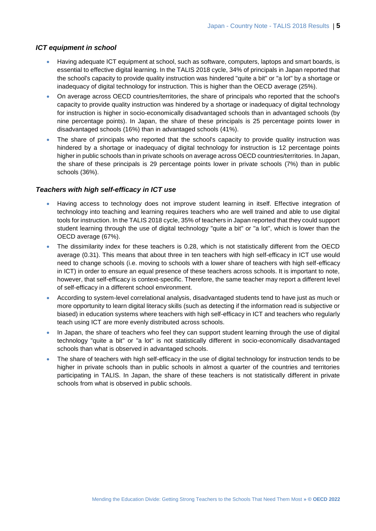#### *ICT equipment in school*

- Having adequate ICT equipment at school, such as software, computers, laptops and smart boards, is essential to effective digital learning. In the TALIS 2018 cycle, 34% of principals in Japan reported that the school's capacity to provide quality instruction was hindered "quite a bit" or "a lot" by a shortage or inadequacy of digital technology for instruction. This is higher than the OECD average (25%).
- On average across OECD countries/territories, the share of principals who reported that the school's capacity to provide quality instruction was hindered by a shortage or inadequacy of digital technology for instruction is higher in socio-economically disadvantaged schools than in advantaged schools (by nine percentage points). In Japan, the share of these principals is 25 percentage points lower in disadvantaged schools (16%) than in advantaged schools (41%).
- The share of principals who reported that the school's capacity to provide quality instruction was hindered by a shortage or inadequacy of digital technology for instruction is 12 percentage points higher in public schools than in private schools on average across OECD countries/territories. In Japan, the share of these principals is 29 percentage points lower in private schools (7%) than in public schools (36%).

# *Teachers with high self-efficacy in ICT use*

- Having access to technology does not improve student learning in itself. Effective integration of technology into teaching and learning requires teachers who are well trained and able to use digital tools for instruction. In the TALIS 2018 cycle, 35% of teachers in Japan reported that they could support student learning through the use of digital technology "quite a bit" or "a lot", which is lower than the OECD average (67%).
- The dissimilarity index for these teachers is 0.28, which is not statistically different from the OECD average (0.31). This means that about three in ten teachers with high self-efficacy in ICT use would need to change schools (i.e. moving to schools with a lower share of teachers with high self-efficacy in ICT) in order to ensure an equal presence of these teachers across schools. It is important to note, however, that self-efficacy is context-specific. Therefore, the same teacher may report a different level of self-efficacy in a different school environment.
- According to system-level correlational analysis, disadvantaged students tend to have just as much or more opportunity to learn digital literacy skills (such as detecting if the information read is subjective or biased) in education systems where teachers with high self-efficacy in ICT and teachers who regularly teach using ICT are more evenly distributed across schools.
- In Japan, the share of teachers who feel they can support student learning through the use of digital technology "quite a bit" or "a lot" is not statistically different in socio-economically disadvantaged schools than what is observed in advantaged schools.
- The share of teachers with high self-efficacy in the use of digital technology for instruction tends to be higher in private schools than in public schools in almost a quarter of the countries and territories participating in TALIS. In Japan, the share of these teachers is not statistically different in private schools from what is observed in public schools.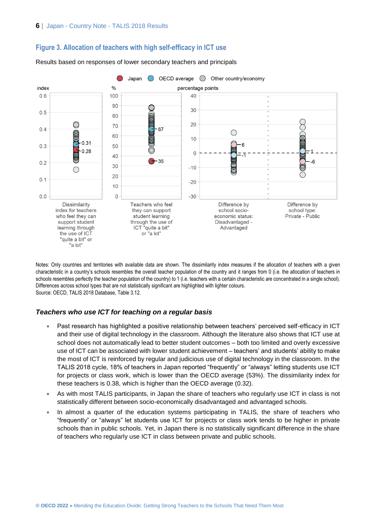



Results based on responses of lower secondary teachers and principals

Notes: Only countries and territories with available data are shown. The dissimilarity index measures if the allocation of teachers with a given characteristic in a country's schools resembles the overall teacher population of the country and it ranges from 0 (i.e. the allocation of teachers in schools resembles perfectly the teacher population of the country) to 1 (i.e. teachers with a certain characteristic are concentrated in a single school). Differences across school types that are not statistically significant are highlighted with lighter colours. Source: OECD, TALIS 2018 Database, Table 3.12.

#### *Teachers who use ICT for teaching on a regular basis*

- Past research has highlighted a positive relationship between teachers' perceived self-efficacy in ICT and their use of digital technology in the classroom. Although the literature also shows that ICT use at school does not automatically lead to better student outcomes – both too limited and overly excessive use of ICT can be associated with lower student achievement – teachers' and students' ability to make the most of ICT is reinforced by regular and judicious use of digital technology in the classroom. In the TALIS 2018 cycle, 18% of teachers in Japan reported "frequently" or "always" letting students use ICT for projects or class work, which is lower than the OECD average (53%). The dissimilarity index for these teachers is 0.38, which is higher than the OECD average (0.32).
- As with most TALIS participants, in Japan the share of teachers who regularly use ICT in class is not statistically different between socio-economically disadvantaged and advantaged schools.
- In almost a quarter of the education systems participating in TALIS, the share of teachers who "frequently" or "always" let students use ICT for projects or class work tends to be higher in private schools than in public schools. Yet, in Japan there is no statistically significant difference in the share of teachers who regularly use ICT in class between private and public schools.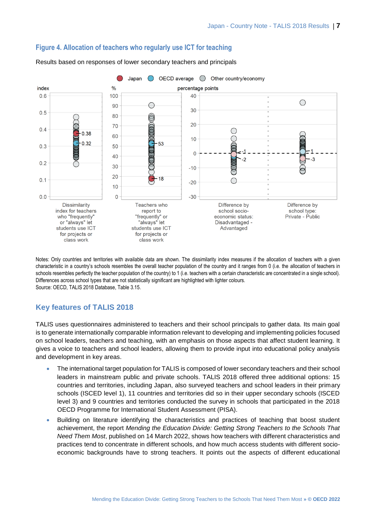

#### **Figure 4. Allocation of teachers who regularly use ICT for teaching**

Results based on responses of lower secondary teachers and principals

Notes: Only countries and territories with available data are shown. The dissimilarity index measures if the allocation of teachers with a given characteristic in a country's schools resembles the overall teacher population of the country and it ranges from 0 (i.e. the allocation of teachers in schools resembles perfectly the teacher population of the country) to 1 (i.e. teachers with a certain characteristic are concentrated in a single school). Differences across school types that are not statistically significant are highlighted with lighter colours. Source: OECD, TALIS 2018 Database, Table 3.15.

# **Key features of TALIS 2018**

TALIS uses questionnaires administered to teachers and their school principals to gather data. Its main goal is to generate internationally comparable information relevant to developing and implementing policies focused on school leaders, teachers and teaching, with an emphasis on those aspects that affect student learning. It gives a voice to teachers and school leaders, allowing them to provide input into educational policy analysis and development in key areas.

- The international target population for TALIS is composed of lower secondary teachers and their school leaders in mainstream public and private schools. TALIS 2018 offered three additional options: 15 countries and territories, including Japan, also surveyed teachers and school leaders in their primary schools (ISCED level 1), 11 countries and territories did so in their upper secondary schools (ISCED level 3) and 9 countries and territories conducted the survey in schools that participated in the 2018 OECD Programme for International Student Assessment (PISA).
- Building on literature identifying the characteristics and practices of teaching that boost student achievement, the report *Mending the Education Divide: Getting Strong Teachers to the Schools That Need Them Most*, published on 14 March 2022, shows how teachers with different characteristics and practices tend to concentrate in different schools, and how much access students with different socioeconomic backgrounds have to strong teachers. It points out the aspects of different educational